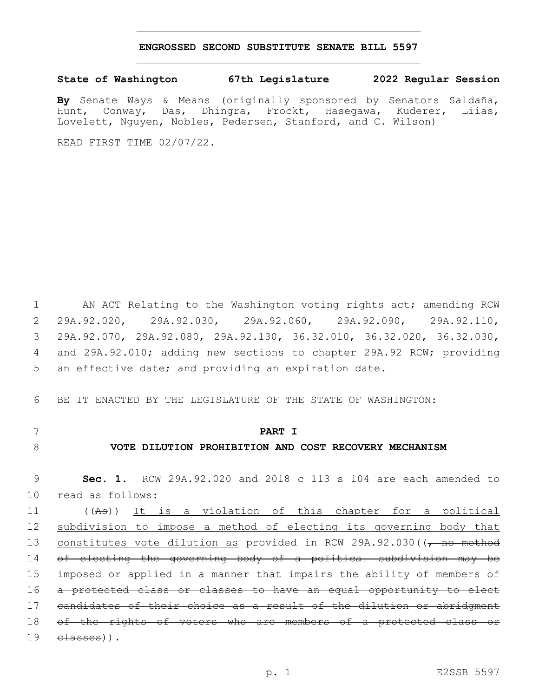#### **ENGROSSED SECOND SUBSTITUTE SENATE BILL 5597**

## **State of Washington 67th Legislature 2022 Regular Session**

**By** Senate Ways & Means (originally sponsored by Senators Saldaña, Hunt, Conway, Das, Dhingra, Frockt, Hasegawa, Kuderer, Liias, Lovelett, Nguyen, Nobles, Pedersen, Stanford, and C. Wilson)

READ FIRST TIME 02/07/22.

1 AN ACT Relating to the Washington voting rights act; amending RCW 2 29A.92.020, 29A.92.030, 29A.92.060, 29A.92.090, 29A.92.110, 3 29A.92.070, 29A.92.080, 29A.92.130, 36.32.010, 36.32.020, 36.32.030, 4 and 29A.92.010; adding new sections to chapter 29A.92 RCW; providing 5 an effective date; and providing an expiration date.

6 BE IT ENACTED BY THE LEGISLATURE OF THE STATE OF WASHINGTON:

- 
- 

## 7 **PART I**

# 8 **VOTE DILUTION PROHIBITION AND COST RECOVERY MECHANISM**

9 **Sec. 1.** RCW 29A.92.020 and 2018 c 113 s 104 are each amended to 10 read as follows:

 ((As)) It is a violation of this chapter for a political subdivision to impose a method of electing its governing body that 13 constitutes vote dilution as provided in RCW 29A.92.030((, no method 14 of electing the governing body of a political subdivision may be imposed or applied in a manner that impairs the ability of members of a protected class or classes to have an equal opportunity to elect candidates of their choice as a result of the dilution or abridgment 18 of the rights of voters who are members of a protected class or elasses)).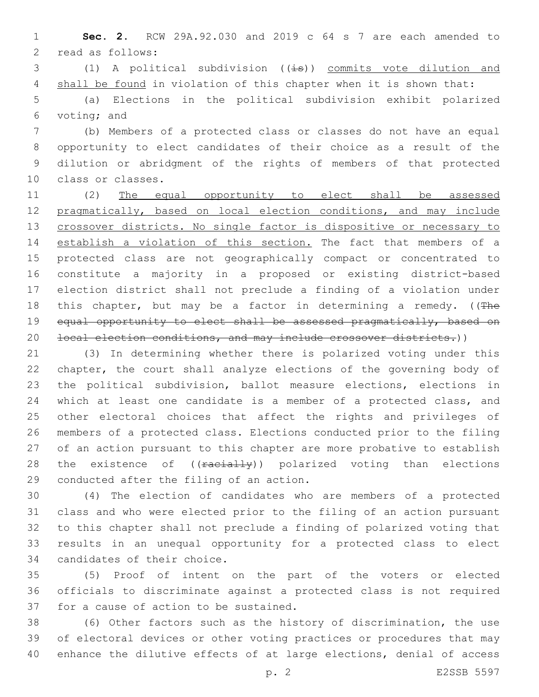**Sec. 2.** RCW 29A.92.030 and 2019 c 64 s 7 are each amended to 2 read as follows:

3 (1) A political subdivision  $((\pm s))$  commits vote dilution and 4 shall be found in violation of this chapter when it is shown that:

 (a) Elections in the political subdivision exhibit polarized 6 voting; and

 (b) Members of a protected class or classes do not have an equal opportunity to elect candidates of their choice as a result of the dilution or abridgment of the rights of members of that protected 10 class or classes.

 (2) The equal opportunity to elect shall be assessed pragmatically, based on local election conditions, and may include 13 crossover districts. No single factor is dispositive or necessary to establish a violation of this section. The fact that members of a protected class are not geographically compact or concentrated to constitute a majority in a proposed or existing district-based election district shall not preclude a finding of a violation under 18 this chapter, but may be a factor in determining a remedy. ((The 19 equal opportunity to elect shall be assessed pragmatically, based on 20 local election conditions, and may include crossover districts.))

 (3) In determining whether there is polarized voting under this chapter, the court shall analyze elections of the governing body of the political subdivision, ballot measure elections, elections in which at least one candidate is a member of a protected class, and other electoral choices that affect the rights and privileges of members of a protected class. Elections conducted prior to the filing of an action pursuant to this chapter are more probative to establish 28 the existence of ((racially)) polarized voting than elections 29 conducted after the filing of an action.

 (4) The election of candidates who are members of a protected class and who were elected prior to the filing of an action pursuant to this chapter shall not preclude a finding of polarized voting that results in an unequal opportunity for a protected class to elect 34 candidates of their choice.

 (5) Proof of intent on the part of the voters or elected officials to discriminate against a protected class is not required 37 for a cause of action to be sustained.

 (6) Other factors such as the history of discrimination, the use of electoral devices or other voting practices or procedures that may enhance the dilutive effects of at large elections, denial of access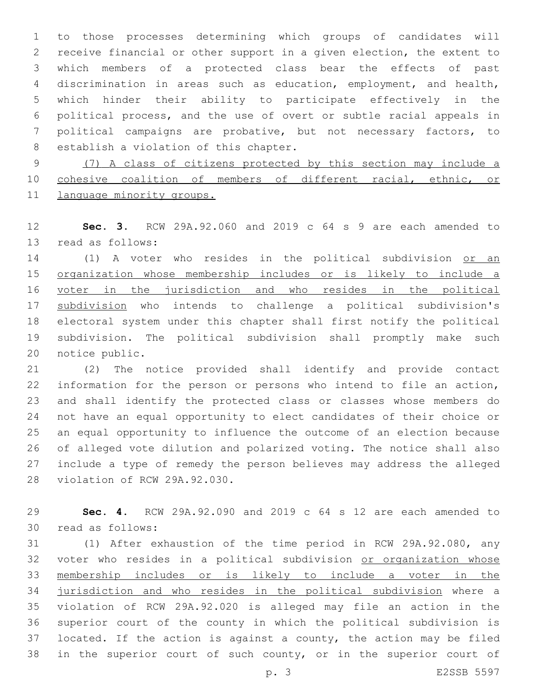to those processes determining which groups of candidates will receive financial or other support in a given election, the extent to which members of a protected class bear the effects of past discrimination in areas such as education, employment, and health, which hinder their ability to participate effectively in the political process, and the use of overt or subtle racial appeals in political campaigns are probative, but not necessary factors, to 8 establish a violation of this chapter.

 (7) A class of citizens protected by this section may include a cohesive coalition of members of different racial, ethnic, or 11 language minority groups.

 **Sec. 3.** RCW 29A.92.060 and 2019 c 64 s 9 are each amended to 13 read as follows:

14 (1) A voter who resides in the political subdivision or an organization whose membership includes or is likely to include a 16 voter in the jurisdiction and who resides in the political subdivision who intends to challenge a political subdivision's electoral system under this chapter shall first notify the political subdivision. The political subdivision shall promptly make such 20 notice public.

 (2) The notice provided shall identify and provide contact information for the person or persons who intend to file an action, and shall identify the protected class or classes whose members do not have an equal opportunity to elect candidates of their choice or an equal opportunity to influence the outcome of an election because of alleged vote dilution and polarized voting. The notice shall also include a type of remedy the person believes may address the alleged 28 violation of RCW 29A.92.030.

 **Sec. 4.** RCW 29A.92.090 and 2019 c 64 s 12 are each amended to 30 read as follows:

 (1) After exhaustion of the time period in RCW 29A.92.080, any voter who resides in a political subdivision or organization whose membership includes or is likely to include a voter in the jurisdiction and who resides in the political subdivision where a violation of RCW 29A.92.020 is alleged may file an action in the superior court of the county in which the political subdivision is located. If the action is against a county, the action may be filed in the superior court of such county, or in the superior court of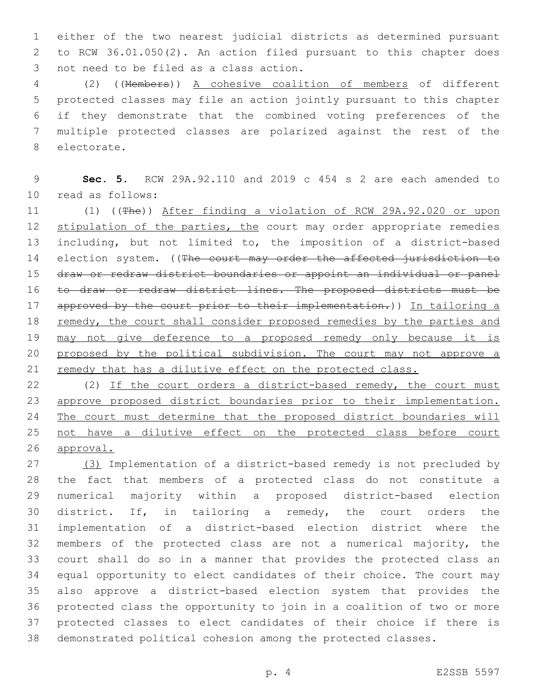either of the two nearest judicial districts as determined pursuant to RCW 36.01.050(2). An action filed pursuant to this chapter does 3 not need to be filed as a class action.

 (2) ((Members)) A cohesive coalition of members of different protected classes may file an action jointly pursuant to this chapter if they demonstrate that the combined voting preferences of the multiple protected classes are polarized against the rest of the 8 electorate.

 **Sec. 5.** RCW 29A.92.110 and 2019 c 454 s 2 are each amended to read as follows:10

 (1) ((The)) After finding a violation of RCW 29A.92.020 or upon 12 stipulation of the parties, the court may order appropriate remedies including, but not limited to, the imposition of a district-based 14 election system. ((The court may order the affected jurisdiction to draw or redraw district boundaries or appoint an individual or panel to draw or redraw district lines. The proposed districts must be 17 approved by the court prior to their implementation.)) In tailoring a 18 remedy, the court shall consider proposed remedies by the parties and may not give deference to a proposed remedy only because it is 20 proposed by the political subdivision. The court may not approve a 21 remedy that has a dilutive effect on the protected class.

22 (2) If the court orders a district-based remedy, the court must approve proposed district boundaries prior to their implementation. The court must determine that the proposed district boundaries will not have a dilutive effect on the protected class before court approval.

 (3) Implementation of a district-based remedy is not precluded by the fact that members of a protected class do not constitute a numerical majority within a proposed district-based election district. If, in tailoring a remedy, the court orders the implementation of a district-based election district where the members of the protected class are not a numerical majority, the court shall do so in a manner that provides the protected class an equal opportunity to elect candidates of their choice. The court may also approve a district-based election system that provides the protected class the opportunity to join in a coalition of two or more protected classes to elect candidates of their choice if there is demonstrated political cohesion among the protected classes.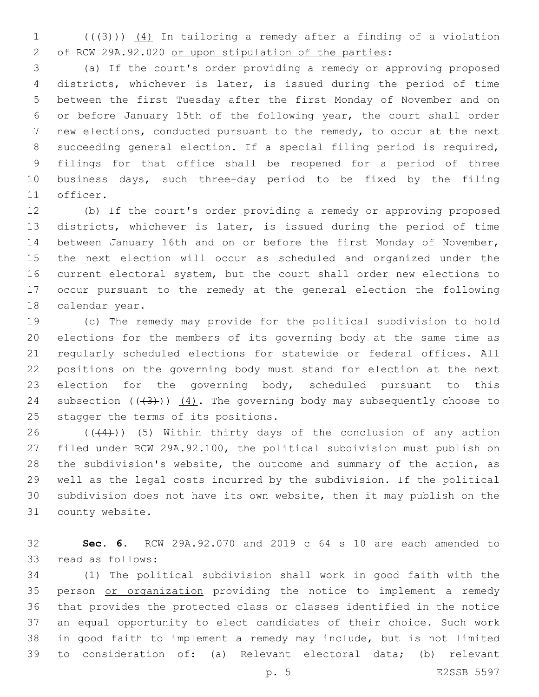(( $(3)$ ))  $(4)$  In tailoring a remedy after a finding of a violation of RCW 29A.92.020 or upon stipulation of the parties:

 (a) If the court's order providing a remedy or approving proposed districts, whichever is later, is issued during the period of time between the first Tuesday after the first Monday of November and on or before January 15th of the following year, the court shall order new elections, conducted pursuant to the remedy, to occur at the next succeeding general election. If a special filing period is required, filings for that office shall be reopened for a period of three business days, such three-day period to be fixed by the filing 11 officer.

 (b) If the court's order providing a remedy or approving proposed districts, whichever is later, is issued during the period of time between January 16th and on or before the first Monday of November, the next election will occur as scheduled and organized under the current electoral system, but the court shall order new elections to occur pursuant to the remedy at the general election the following 18 calendar year.

 (c) The remedy may provide for the political subdivision to hold elections for the members of its governing body at the same time as regularly scheduled elections for statewide or federal offices. All positions on the governing body must stand for election at the next 23 election for the governing body, scheduled pursuant to this 24 subsection  $((+3+))$   $(4)$ . The governing body may subsequently choose to 25 stagger the terms of its positions.

 $((44))$   $(5)$  Within thirty days of the conclusion of any action filed under RCW 29A.92.100, the political subdivision must publish on the subdivision's website, the outcome and summary of the action, as well as the legal costs incurred by the subdivision. If the political subdivision does not have its own website, then it may publish on the 31 county website.

 **Sec. 6.** RCW 29A.92.070 and 2019 c 64 s 10 are each amended to 33 read as follows:

 (1) The political subdivision shall work in good faith with the 35 person or organization providing the notice to implement a remedy that provides the protected class or classes identified in the notice an equal opportunity to elect candidates of their choice. Such work in good faith to implement a remedy may include, but is not limited to consideration of: (a) Relevant electoral data; (b) relevant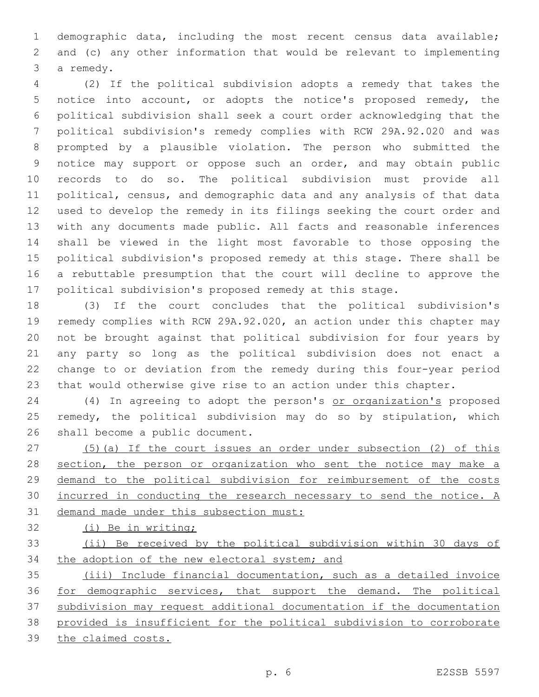demographic data, including the most recent census data available; and (c) any other information that would be relevant to implementing 3 a remedy.

 (2) If the political subdivision adopts a remedy that takes the notice into account, or adopts the notice's proposed remedy, the political subdivision shall seek a court order acknowledging that the political subdivision's remedy complies with RCW 29A.92.020 and was prompted by a plausible violation. The person who submitted the notice may support or oppose such an order, and may obtain public records to do so. The political subdivision must provide all political, census, and demographic data and any analysis of that data used to develop the remedy in its filings seeking the court order and with any documents made public. All facts and reasonable inferences shall be viewed in the light most favorable to those opposing the political subdivision's proposed remedy at this stage. There shall be a rebuttable presumption that the court will decline to approve the political subdivision's proposed remedy at this stage.

 (3) If the court concludes that the political subdivision's remedy complies with RCW 29A.92.020, an action under this chapter may not be brought against that political subdivision for four years by any party so long as the political subdivision does not enact a change to or deviation from the remedy during this four-year period that would otherwise give rise to an action under this chapter.

24 (4) In agreeing to adopt the person's or organization's proposed remedy, the political subdivision may do so by stipulation, which 26 shall become a public document.

 (5)(a) If the court issues an order under subsection (2) of this 28 section, the person or organization who sent the notice may make a demand to the political subdivision for reimbursement of the costs incurred in conducting the research necessary to send the notice. A demand made under this subsection must:

(i) Be in writing;

 (ii) Be received by the political subdivision within 30 days of 34 the adoption of the new electoral system; and

 (iii) Include financial documentation, such as a detailed invoice for demographic services, that support the demand. The political subdivision may request additional documentation if the documentation provided is insufficient for the political subdivision to corroborate the claimed costs.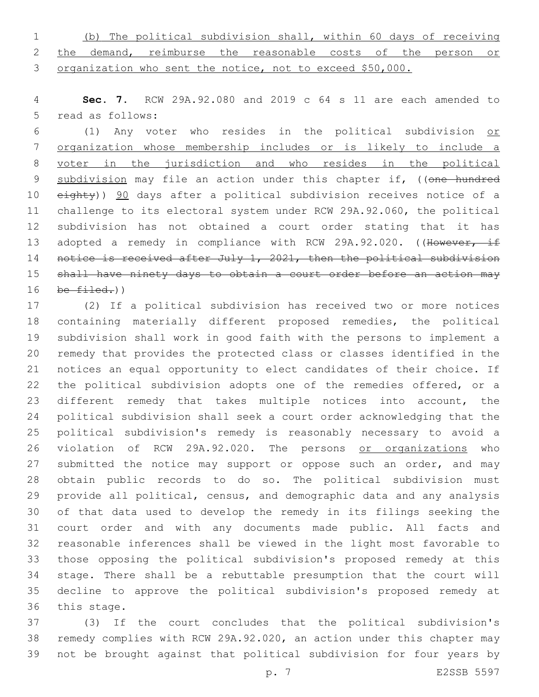(b) The political subdivision shall, within 60 days of receiving 2 the demand, reimburse the reasonable costs of the person or organization who sent the notice, not to exceed \$50,000.

 **Sec. 7.** RCW 29A.92.080 and 2019 c 64 s 11 are each amended to 5 read as follows:

 (1) Any voter who resides in the political subdivision or organization whose membership includes or is likely to include a voter in the jurisdiction and who resides in the political 9 subdivision may file an action under this chapter if, ((one hundred 10 eighty)) 90 days after a political subdivision receives notice of a challenge to its electoral system under RCW 29A.92.060, the political subdivision has not obtained a court order stating that it has 13 adopted a remedy in compliance with RCW 29A.92.020. ((However, if 14 notice is received after July 1, 2021, then the political subdivision 15 shall have ninety days to obtain a court order before an action may be  $filed.)$ )

 (2) If a political subdivision has received two or more notices containing materially different proposed remedies, the political subdivision shall work in good faith with the persons to implement a remedy that provides the protected class or classes identified in the notices an equal opportunity to elect candidates of their choice. If the political subdivision adopts one of the remedies offered, or a different remedy that takes multiple notices into account, the political subdivision shall seek a court order acknowledging that the political subdivision's remedy is reasonably necessary to avoid a violation of RCW 29A.92.020. The persons or organizations who 27 submitted the notice may support or oppose such an order, and may obtain public records to do so. The political subdivision must provide all political, census, and demographic data and any analysis of that data used to develop the remedy in its filings seeking the court order and with any documents made public. All facts and reasonable inferences shall be viewed in the light most favorable to those opposing the political subdivision's proposed remedy at this stage. There shall be a rebuttable presumption that the court will decline to approve the political subdivision's proposed remedy at 36 this stage.

 (3) If the court concludes that the political subdivision's remedy complies with RCW 29A.92.020, an action under this chapter may not be brought against that political subdivision for four years by

p. 7 E2SSB 5597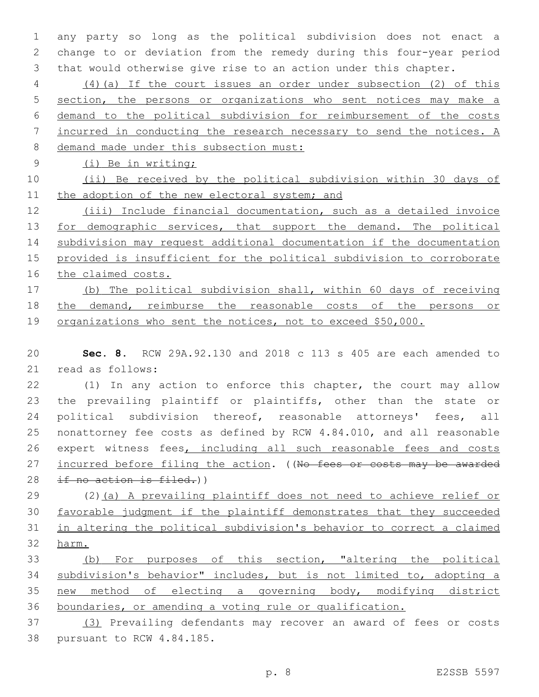any party so long as the political subdivision does not enact a change to or deviation from the remedy during this four-year period that would otherwise give rise to an action under this chapter.

 (4)(a) If the court issues an order under subsection (2) of this section, the persons or organizations who sent notices may make a demand to the political subdivision for reimbursement of the costs incurred in conducting the research necessary to send the notices. A demand made under this subsection must:

(i) Be in writing;

 (ii) Be received by the political subdivision within 30 days of 11 the adoption of the new electoral system; and

 (iii) Include financial documentation, such as a detailed invoice 13 for demographic services, that support the demand. The political subdivision may request additional documentation if the documentation provided is insufficient for the political subdivision to corroborate the claimed costs.

 (b) The political subdivision shall, within 60 days of receiving the demand, reimburse the reasonable costs of the persons or 19 organizations who sent the notices, not to exceed \$50,000.

 **Sec. 8.** RCW 29A.92.130 and 2018 c 113 s 405 are each amended to 21 read as follows:

 (1) In any action to enforce this chapter, the court may allow the prevailing plaintiff or plaintiffs, other than the state or 24 political subdivision thereof, reasonable attorneys' fees, all nonattorney fee costs as defined by RCW 4.84.010, and all reasonable 26 expert witness fees, including all such reasonable fees and costs 27 incurred before filing the action. ((No fees or costs may be awarded 28 if no action is filed.))

 (2)(a) A prevailing plaintiff does not need to achieve relief or favorable judgment if the plaintiff demonstrates that they succeeded in altering the political subdivision's behavior to correct a claimed harm.

 (b) For purposes of this section, "altering the political subdivision's behavior" includes, but is not limited to, adopting a new method of electing a governing body, modifying district boundaries, or amending a voting rule or qualification.

 (3) Prevailing defendants may recover an award of fees or costs 38 pursuant to RCW 4.84.185.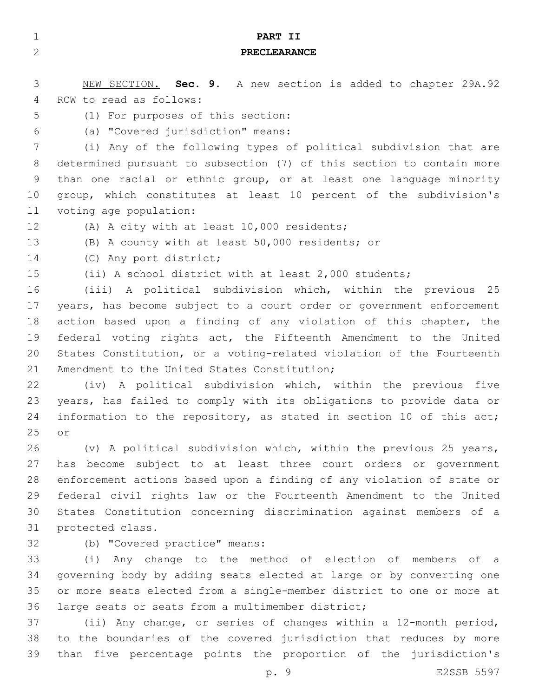| $\mathbf{1}$ | PART II                                                               |
|--------------|-----------------------------------------------------------------------|
| $\mathbf{2}$ | <b>PRECLEARANCE</b>                                                   |
|              |                                                                       |
| 3            | NEW SECTION. Sec. 9. A new section is added to chapter 29A.92         |
| 4            | RCW to read as follows:                                               |
| 5            | (1) For purposes of this section:                                     |
| 6            | (a) "Covered jurisdiction" means:                                     |
| 7            | (i) Any of the following types of political subdivision that are      |
| 8            | determined pursuant to subsection (7) of this section to contain more |
| 9            | than one racial or ethnic group, or at least one language minority    |
| 10           | group, which constitutes at least 10 percent of the subdivision's     |
| 11           | voting age population:                                                |
| 12           | (A) A city with at least 10,000 residents;                            |
| 13           | (B) A county with at least 50,000 residents; or                       |
| 14           | (C) Any port district;                                                |
| 15           | (ii) A school district with at least 2,000 students;                  |
| 16           | (iii) A political subdivision which, within the previous 25           |
| 17           | years, has become subject to a court order or government enforcement  |
| 18           | action based upon a finding of any violation of this chapter, the     |
| 19           | federal voting rights act, the Fifteenth Amendment to the United      |
| 20           | States Constitution, or a voting-related violation of the Fourteenth  |
| 21           | Amendment to the United States Constitution;                          |
| 22           | (iv) A political subdivision which, within the previous five          |
| 23           | years, has failed to comply with its obligations to provide data or   |
| 24           | information to the repository, as stated in section 10 of this act;   |
| 25           | or                                                                    |
| 26           | (v) A political subdivision which, within the previous 25 years,      |
| 27           | has become subject to at least three court orders or government       |
| 28           | enforcement actions based upon a finding of any violation of state or |
| 29           | federal civil rights law or the Fourteenth Amendment to the United    |
| 30           | States Constitution concerning discrimination against members of a    |
| 31           | protected class.                                                      |
| 32           | (b) "Covered practice" means:                                         |
| 33           | (i) Any change to the method of election of members of a              |
| 34           | governing body by adding seats elected at large or by converting one  |
| 35           | or more seats elected from a single-member district to one or more at |
| 36           | large seats or seats from a multimember district;                     |
| 37           | (ii) Any change, or series of changes within a 12-month period,       |
| 38           | to the boundaries of the covered jurisdiction that reduces by more    |

p. 9 E2SSB 5597

than five percentage points the proportion of the jurisdiction's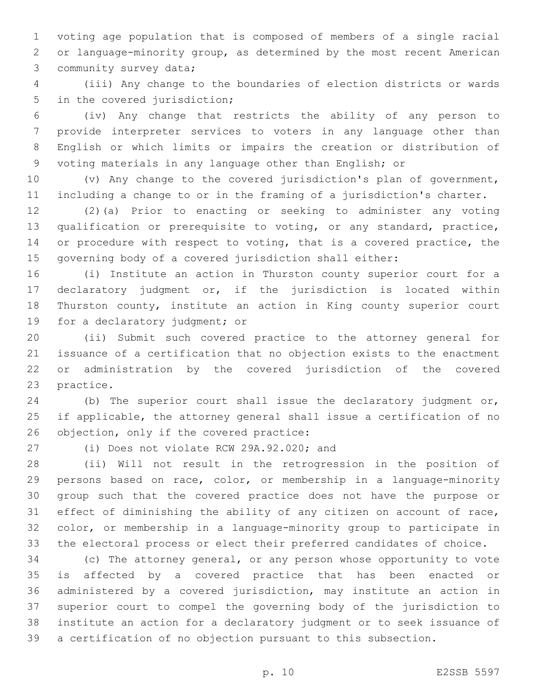voting age population that is composed of members of a single racial or language-minority group, as determined by the most recent American 3 community survey data;

 (iii) Any change to the boundaries of election districts or wards 5 in the covered jurisdiction;

 (iv) Any change that restricts the ability of any person to provide interpreter services to voters in any language other than English or which limits or impairs the creation or distribution of voting materials in any language other than English; or

 (v) Any change to the covered jurisdiction's plan of government, including a change to or in the framing of a jurisdiction's charter.

 (2)(a) Prior to enacting or seeking to administer any voting qualification or prerequisite to voting, or any standard, practice, or procedure with respect to voting, that is a covered practice, the governing body of a covered jurisdiction shall either:

 (i) Institute an action in Thurston county superior court for a declaratory judgment or, if the jurisdiction is located within Thurston county, institute an action in King county superior court 19 for a declaratory judgment; or

 (ii) Submit such covered practice to the attorney general for issuance of a certification that no objection exists to the enactment or administration by the covered jurisdiction of the covered 23 practice.

 (b) The superior court shall issue the declaratory judgment or, if applicable, the attorney general shall issue a certification of no 26 objection, only if the covered practice:

(i) Does not violate RCW 29A.92.020; and

 (ii) Will not result in the retrogression in the position of persons based on race, color, or membership in a language-minority group such that the covered practice does not have the purpose or effect of diminishing the ability of any citizen on account of race, color, or membership in a language-minority group to participate in the electoral process or elect their preferred candidates of choice.

 (c) The attorney general, or any person whose opportunity to vote is affected by a covered practice that has been enacted or administered by a covered jurisdiction, may institute an action in superior court to compel the governing body of the jurisdiction to institute an action for a declaratory judgment or to seek issuance of a certification of no objection pursuant to this subsection.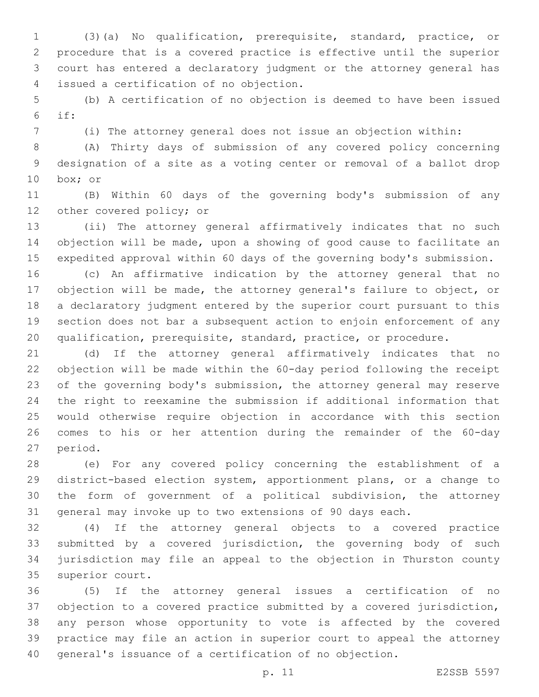(3)(a) No qualification, prerequisite, standard, practice, or procedure that is a covered practice is effective until the superior court has entered a declaratory judgment or the attorney general has issued a certification of no objection.4

 (b) A certification of no objection is deemed to have been issued if:

(i) The attorney general does not issue an objection within:

 (A) Thirty days of submission of any covered policy concerning designation of a site as a voting center or removal of a ballot drop 10 box; or

 (B) Within 60 days of the governing body's submission of any 12 other covered policy; or

 (ii) The attorney general affirmatively indicates that no such objection will be made, upon a showing of good cause to facilitate an expedited approval within 60 days of the governing body's submission.

 (c) An affirmative indication by the attorney general that no objection will be made, the attorney general's failure to object, or a declaratory judgment entered by the superior court pursuant to this section does not bar a subsequent action to enjoin enforcement of any qualification, prerequisite, standard, practice, or procedure.

 (d) If the attorney general affirmatively indicates that no objection will be made within the 60-day period following the receipt of the governing body's submission, the attorney general may reserve the right to reexamine the submission if additional information that would otherwise require objection in accordance with this section comes to his or her attention during the remainder of the 60-day 27 period.

 (e) For any covered policy concerning the establishment of a district-based election system, apportionment plans, or a change to the form of government of a political subdivision, the attorney general may invoke up to two extensions of 90 days each.

 (4) If the attorney general objects to a covered practice submitted by a covered jurisdiction, the governing body of such jurisdiction may file an appeal to the objection in Thurston county 35 superior court.

 (5) If the attorney general issues a certification of no objection to a covered practice submitted by a covered jurisdiction, any person whose opportunity to vote is affected by the covered practice may file an action in superior court to appeal the attorney general's issuance of a certification of no objection.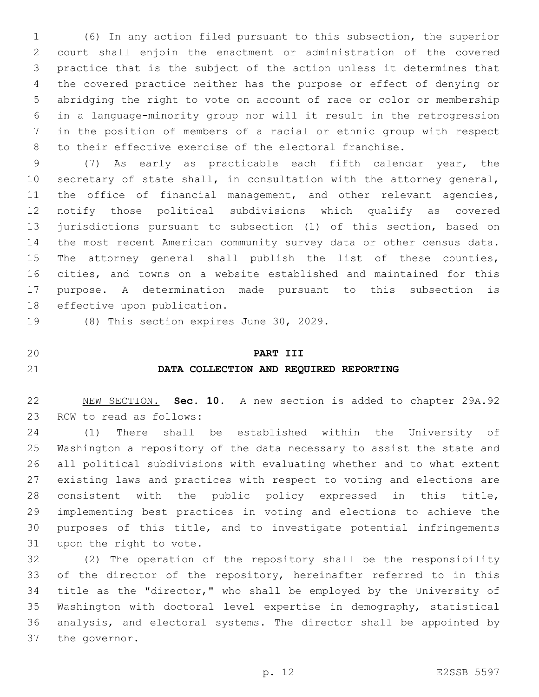(6) In any action filed pursuant to this subsection, the superior court shall enjoin the enactment or administration of the covered practice that is the subject of the action unless it determines that the covered practice neither has the purpose or effect of denying or abridging the right to vote on account of race or color or membership in a language-minority group nor will it result in the retrogression in the position of members of a racial or ethnic group with respect to their effective exercise of the electoral franchise.

 (7) As early as practicable each fifth calendar year, the secretary of state shall, in consultation with the attorney general, 11 the office of financial management, and other relevant agencies, notify those political subdivisions which qualify as covered jurisdictions pursuant to subsection (1) of this section, based on the most recent American community survey data or other census data. The attorney general shall publish the list of these counties, cities, and towns on a website established and maintained for this purpose. A determination made pursuant to this subsection is 18 effective upon publication.

19 (8) This section expires June 30, 2029.

#### **PART III**

### **DATA COLLECTION AND REQUIRED REPORTING**

 NEW SECTION. **Sec. 10.** A new section is added to chapter 29A.92 23 RCW to read as follows:

 (1) There shall be established within the University of Washington a repository of the data necessary to assist the state and all political subdivisions with evaluating whether and to what extent existing laws and practices with respect to voting and elections are consistent with the public policy expressed in this title, implementing best practices in voting and elections to achieve the purposes of this title, and to investigate potential infringements 31 upon the right to vote.

 (2) The operation of the repository shall be the responsibility 33 of the director of the repository, hereinafter referred to in this title as the "director," who shall be employed by the University of Washington with doctoral level expertise in demography, statistical analysis, and electoral systems. The director shall be appointed by 37 the governor.

- 
-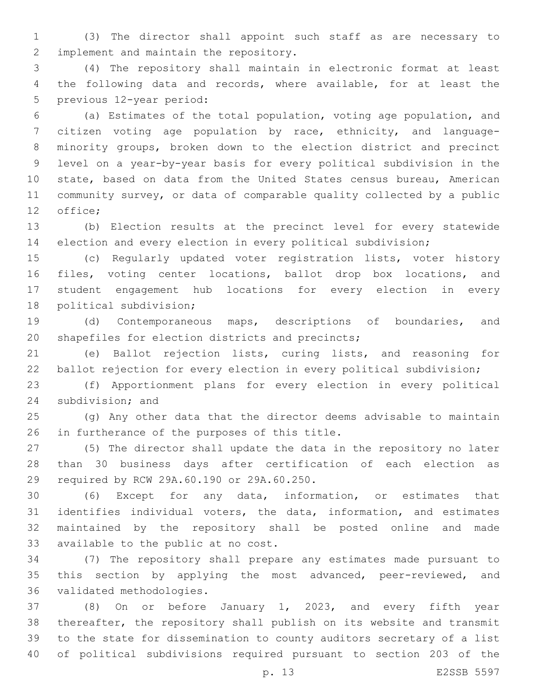(3) The director shall appoint such staff as are necessary to 2 implement and maintain the repository.

 (4) The repository shall maintain in electronic format at least the following data and records, where available, for at least the 5 previous 12-year period:

 (a) Estimates of the total population, voting age population, and citizen voting age population by race, ethnicity, and language- minority groups, broken down to the election district and precinct level on a year-by-year basis for every political subdivision in the state, based on data from the United States census bureau, American community survey, or data of comparable quality collected by a public 12 office;

 (b) Election results at the precinct level for every statewide election and every election in every political subdivision;

 (c) Regularly updated voter registration lists, voter history files, voting center locations, ballot drop box locations, and student engagement hub locations for every election in every 18 political subdivision;

 (d) Contemporaneous maps, descriptions of boundaries, and 20 shapefiles for election districts and precincts;

 (e) Ballot rejection lists, curing lists, and reasoning for ballot rejection for every election in every political subdivision;

 (f) Apportionment plans for every election in every political 24 subdivision; and

 (g) Any other data that the director deems advisable to maintain 26 in furtherance of the purposes of this title.

 (5) The director shall update the data in the repository no later than 30 business days after certification of each election as 29 required by RCW 29A.60.190 or 29A.60.250.

 (6) Except for any data, information, or estimates that identifies individual voters, the data, information, and estimates maintained by the repository shall be posted online and made 33 available to the public at no cost.

 (7) The repository shall prepare any estimates made pursuant to this section by applying the most advanced, peer-reviewed, and 36 validated methodologies.

 (8) On or before January 1, 2023, and every fifth year thereafter, the repository shall publish on its website and transmit to the state for dissemination to county auditors secretary of a list of political subdivisions required pursuant to section 203 of the

p. 13 E2SSB 5597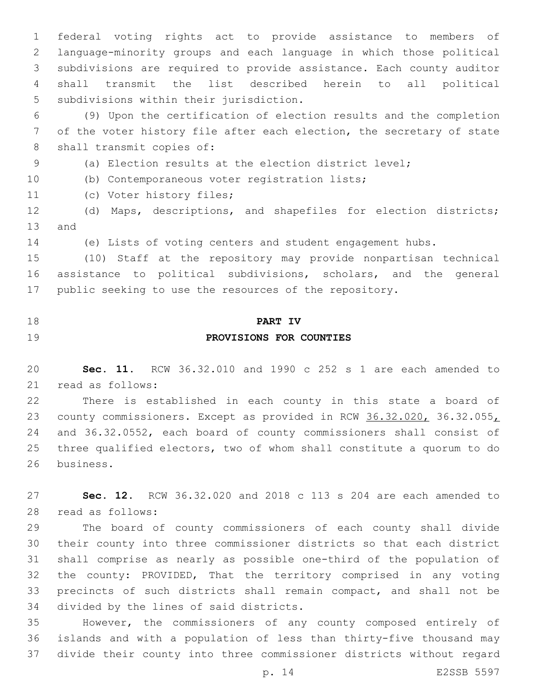federal voting rights act to provide assistance to members of language-minority groups and each language in which those political subdivisions are required to provide assistance. Each county auditor shall transmit the list described herein to all political 5 subdivisions within their jurisdiction.

 (9) Upon the certification of election results and the completion of the voter history file after each election, the secretary of state 8 shall transmit copies of:

(a) Election results at the election district level;

(b) Contemporaneous voter registration lists;10

11 (c) Voter history files;

 (d) Maps, descriptions, and shapefiles for election districts; 13 and

(e) Lists of voting centers and student engagement hubs.

 (10) Staff at the repository may provide nonpartisan technical assistance to political subdivisions, scholars, and the general public seeking to use the resources of the repository.

# **PART IV PROVISIONS FOR COUNTIES**

 **Sec. 11.** RCW 36.32.010 and 1990 c 252 s 1 are each amended to 21 read as follows:

 There is established in each county in this state a board of 23 county commissioners. Except as provided in RCW 36.32.020, 36.32.055, and 36.32.0552, each board of county commissioners shall consist of three qualified electors, two of whom shall constitute a quorum to do 26 business.

 **Sec. 12.** RCW 36.32.020 and 2018 c 113 s 204 are each amended to 28 read as follows:

 The board of county commissioners of each county shall divide their county into three commissioner districts so that each district shall comprise as nearly as possible one-third of the population of the county: PROVIDED, That the territory comprised in any voting precincts of such districts shall remain compact, and shall not be 34 divided by the lines of said districts.

 However, the commissioners of any county composed entirely of islands and with a population of less than thirty-five thousand may divide their county into three commissioner districts without regard

p. 14 E2SSB 5597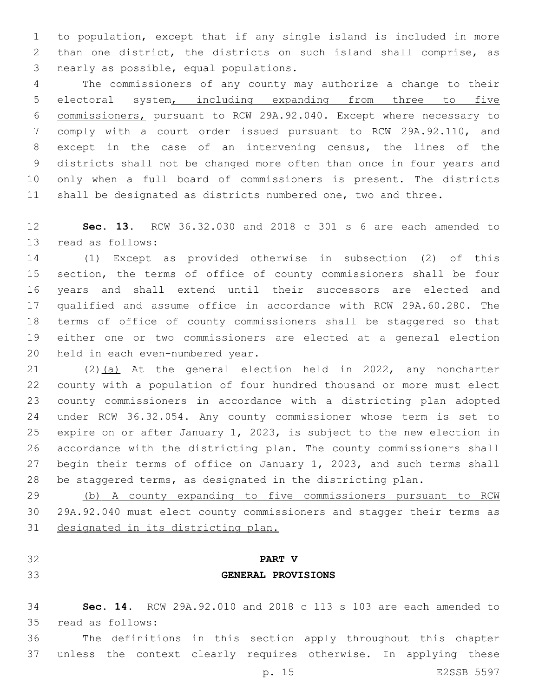to population, except that if any single island is included in more than one district, the districts on such island shall comprise, as 3 nearly as possible, equal populations.

 The commissioners of any county may authorize a change to their electoral system, including expanding from three to five commissioners, pursuant to RCW 29A.92.040. Except where necessary to comply with a court order issued pursuant to RCW 29A.92.110, and except in the case of an intervening census, the lines of the districts shall not be changed more often than once in four years and only when a full board of commissioners is present. The districts shall be designated as districts numbered one, two and three.

 **Sec. 13.** RCW 36.32.030 and 2018 c 301 s 6 are each amended to 13 read as follows:

 (1) Except as provided otherwise in subsection (2) of this section, the terms of office of county commissioners shall be four years and shall extend until their successors are elected and qualified and assume office in accordance with RCW 29A.60.280. The terms of office of county commissioners shall be staggered so that either one or two commissioners are elected at a general election 20 held in each even-numbered year.

 (2)(a) At the general election held in 2022, any noncharter county with a population of four hundred thousand or more must elect county commissioners in accordance with a districting plan adopted under RCW 36.32.054. Any county commissioner whose term is set to expire on or after January 1, 2023, is subject to the new election in accordance with the districting plan. The county commissioners shall begin their terms of office on January 1, 2023, and such terms shall be staggered terms, as designated in the districting plan.

 (b) A county expanding to five commissioners pursuant to RCW 29A.92.040 must elect county commissioners and stagger their terms as designated in its districting plan.

- 
- 

# **PART V GENERAL PROVISIONS**

 **Sec. 14.** RCW 29A.92.010 and 2018 c 113 s 103 are each amended to read as follows:35

 The definitions in this section apply throughout this chapter unless the context clearly requires otherwise. In applying these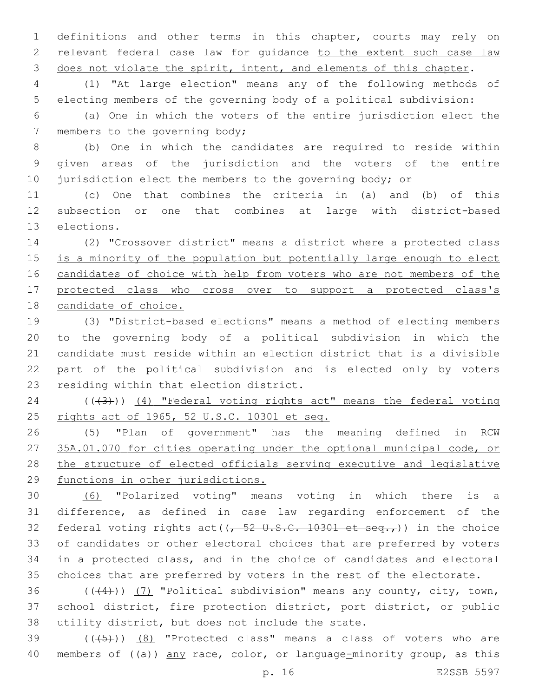definitions and other terms in this chapter, courts may rely on relevant federal case law for guidance to the extent such case law 3 does not violate the spirit, intent, and elements of this chapter.

 (1) "At large election" means any of the following methods of electing members of the governing body of a political subdivision:

 (a) One in which the voters of the entire jurisdiction elect the 7 members to the governing body;

 (b) One in which the candidates are required to reside within given areas of the jurisdiction and the voters of the entire 10 jurisdiction elect the members to the governing body; or

 (c) One that combines the criteria in (a) and (b) of this subsection or one that combines at large with district-based 13 elections.

 (2) "Crossover district" means a district where a protected class 15 is a minority of the population but potentially large enough to elect candidates of choice with help from voters who are not members of the protected class who cross over to support a protected class's candidate of choice.

 (3) "District-based elections" means a method of electing members to the governing body of a political subdivision in which the candidate must reside within an election district that is a divisible part of the political subdivision and is elected only by voters 23 residing within that election district.

 ( $(\overline{3})$ ) (4) "Federal voting rights act" means the federal voting rights act of 1965, 52 U.S.C. 10301 et seq.

 (5) "Plan of government" has the meaning defined in RCW 35A.01.070 for cities operating under the optional municipal code, or the structure of elected officials serving executive and legislative functions in other jurisdictions.

 (6) "Polarized voting" means voting in which there is a difference, as defined in case law regarding enforcement of the 32 federal voting rights act( $\left(\frac{1}{2} - \frac{1}{2} + \frac{1}{2} + \frac{1}{2} + \frac{1}{2} + \frac{1}{2} + \frac{1}{2} + \frac{1}{2} + \frac{1}{2} + \frac{1}{2} + \frac{1}{2} + \frac{1}{2} + \frac{1}{2} + \frac{1}{2} + \frac{1}{2} + \frac{1}{2} + \frac{1}{2} + \frac{1}{2} + \frac{1}{2} + \frac{1}{2} + \frac{1}{2} + \frac{1}{2} + \frac{1}{2} + \frac{1}{$  of candidates or other electoral choices that are preferred by voters in a protected class, and in the choice of candidates and electoral choices that are preferred by voters in the rest of the electorate.

36  $((44))$  (7) "Political subdivision" means any county, city, town, school district, fire protection district, port district, or public 38 utility district, but does not include the state.

39  $((+5+))$   $(8)$  "Protected class" means a class of voters who are 40 members of  $((a))$  any race, color, or language-minority group, as this

p. 16 E2SSB 5597